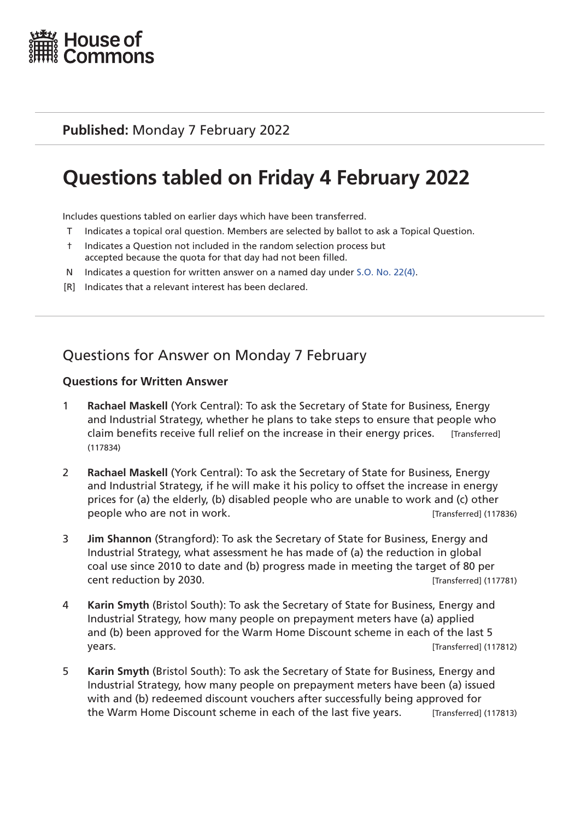

### **Published:** Monday 7 February 2022

# **Questions tabled on Friday 4 February 2022**

Includes questions tabled on earlier days which have been transferred.

- T Indicates a topical oral question. Members are selected by ballot to ask a Topical Question.
- † Indicates a Question not included in the random selection process but accepted because the quota for that day had not been filled.
- N Indicates a question for written answer on a named day under [S.O. No. 22\(4\)](http://publications.parliament.uk/pa/cm201719/cmstords/0004/body.html#22(4)).
- [R] Indicates that a relevant interest has been declared.

# Questions for Answer on Monday 7 February

- 1 **Rachael Maskell** (York Central): To ask the Secretary of State for Business, Energy and Industrial Strategy, whether he plans to take steps to ensure that people who claim benefits receive full relief on the increase in their energy prices. [Transferred] (117834)
- 2 **Rachael Maskell** (York Central): To ask the Secretary of State for Business, Energy and Industrial Strategy, if he will make it his policy to offset the increase in energy prices for (a) the elderly, (b) disabled people who are unable to work and (c) other people who are not in work.  $[Transfered] (117836)$
- 3 **Jim Shannon** (Strangford): To ask the Secretary of State for Business, Energy and Industrial Strategy, what assessment he has made of (a) the reduction in global coal use since 2010 to date and (b) progress made in meeting the target of 80 per cent reduction by 2030. [Transferred] (117781)
- 4 **Karin Smyth** (Bristol South): To ask the Secretary of State for Business, Energy and Industrial Strategy, how many people on prepayment meters have (a) applied and (b) been approved for the Warm Home Discount scheme in each of the last 5 years. [Transferred] (117812)
- 5 **Karin Smyth** (Bristol South): To ask the Secretary of State for Business, Energy and Industrial Strategy, how many people on prepayment meters have been (a) issued with and (b) redeemed discount vouchers after successfully being approved for the Warm Home Discount scheme in each of the last five years. [Transferred] (117813)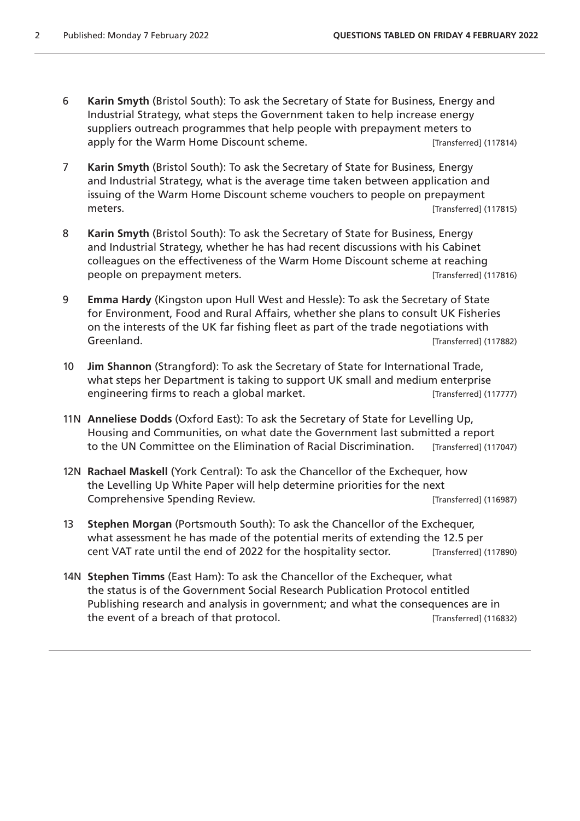- 6 **Karin Smyth** (Bristol South): To ask the Secretary of State for Business, Energy and Industrial Strategy, what steps the Government taken to help increase energy suppliers outreach programmes that help people with prepayment meters to apply for the Warm Home Discount scheme. [Transferred] (117814)
- 7 **Karin Smyth** (Bristol South): To ask the Secretary of State for Business, Energy and Industrial Strategy, what is the average time taken between application and issuing of the Warm Home Discount scheme vouchers to people on prepayment meters. [Transferred] (117815)
- 8 **Karin Smyth** (Bristol South): To ask the Secretary of State for Business, Energy and Industrial Strategy, whether he has had recent discussions with his Cabinet colleagues on the effectiveness of the Warm Home Discount scheme at reaching people on prepayment meters. [Transferred] (117816)
- 9 **Emma Hardy** (Kingston upon Hull West and Hessle): To ask the Secretary of State for Environment, Food and Rural Affairs, whether she plans to consult UK Fisheries on the interests of the UK far fishing fleet as part of the trade negotiations with Greenland. **Example 20** and the control of the control of the control of the control of the control of the control of the control of the control of the control of the control of the control of the control of the control of
- 10 **Jim Shannon** (Strangford): To ask the Secretary of State for International Trade, what steps her Department is taking to support UK small and medium enterprise engineering firms to reach a global market. [Transferred] (117777)
- 11N **Anneliese Dodds** (Oxford East): To ask the Secretary of State for Levelling Up, Housing and Communities, on what date the Government last submitted a report to the UN Committee on the Elimination of Racial Discrimination. [Transferred] (117047)
- 12N **Rachael Maskell** (York Central): To ask the Chancellor of the Exchequer, how the Levelling Up White Paper will help determine priorities for the next Comprehensive Spending Review. The Comprehensive Spending Review.
- 13 **Stephen Morgan** (Portsmouth South): To ask the Chancellor of the Exchequer, what assessment he has made of the potential merits of extending the 12.5 per cent VAT rate until the end of 2022 for the hospitality sector. [Transferred] (117890)
- 14N **Stephen Timms** (East Ham): To ask the Chancellor of the Exchequer, what the status is of the Government Social Research Publication Protocol entitled Publishing research and analysis in government; and what the consequences are in the event of a breach of that protocol. [Transferred] (116832)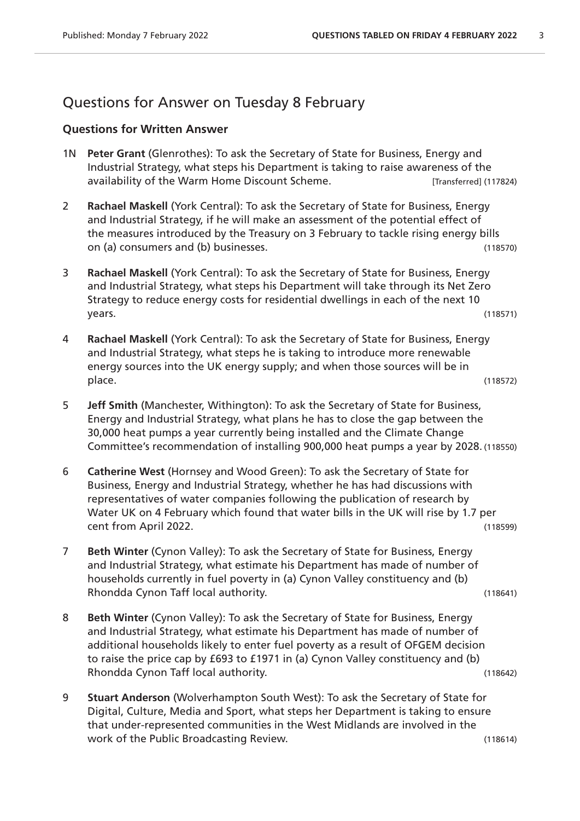### Questions for Answer on Tuesday 8 February

- 1N **Peter Grant** (Glenrothes): To ask the Secretary of State for Business, Energy and Industrial Strategy, what steps his Department is taking to raise awareness of the availability of the Warm Home Discount Scheme. [Transferred] (117824)
- 2 **Rachael Maskell** (York Central): To ask the Secretary of State for Business, Energy and Industrial Strategy, if he will make an assessment of the potential effect of the measures introduced by the Treasury on 3 February to tackle rising energy bills on (a) consumers and (b) businesses. (118570)
- 3 **Rachael Maskell** (York Central): To ask the Secretary of State for Business, Energy and Industrial Strategy, what steps his Department will take through its Net Zero Strategy to reduce energy costs for residential dwellings in each of the next 10 years. (118571)
- 4 **Rachael Maskell** (York Central): To ask the Secretary of State for Business, Energy and Industrial Strategy, what steps he is taking to introduce more renewable energy sources into the UK energy supply; and when those sources will be in place. (118572)
- 5 **Jeff Smith** (Manchester, Withington): To ask the Secretary of State for Business, Energy and Industrial Strategy, what plans he has to close the gap between the 30,000 heat pumps a year currently being installed and the Climate Change Committee's recommendation of installing 900,000 heat pumps a year by 2028. (118550)
- 6 **Catherine West** (Hornsey and Wood Green): To ask the Secretary of State for Business, Energy and Industrial Strategy, whether he has had discussions with representatives of water companies following the publication of research by Water UK on 4 February which found that water bills in the UK will rise by 1.7 per cent from April 2022. (118599)
- 7 **Beth Winter** (Cynon Valley): To ask the Secretary of State for Business, Energy and Industrial Strategy, what estimate his Department has made of number of households currently in fuel poverty in (a) Cynon Valley constituency and (b) Rhondda Cynon Taff local authority. (118641)

- 8 **Beth Winter** (Cynon Valley): To ask the Secretary of State for Business, Energy and Industrial Strategy, what estimate his Department has made of number of additional households likely to enter fuel poverty as a result of OFGEM decision to raise the price cap by £693 to £1971 in (a) Cynon Valley constituency and (b) Rhondda Cynon Taff local authority. (118642)
- 9 **Stuart Anderson** (Wolverhampton South West): To ask the Secretary of State for Digital, Culture, Media and Sport, what steps her Department is taking to ensure that under-represented communities in the West Midlands are involved in the work of the Public Broadcasting Review. The Contract of the Public Broadcasting Review.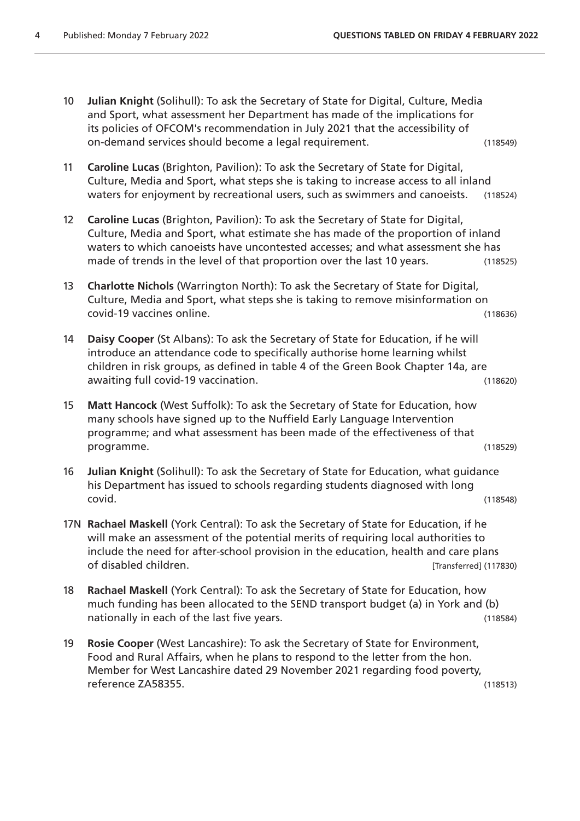- 10 **Julian Knight** (Solihull): To ask the Secretary of State for Digital, Culture, Media and Sport, what assessment her Department has made of the implications for its policies of OFCOM's recommendation in July 2021 that the accessibility of on-demand services should become a legal requirement. (118549) 11 **Caroline Lucas** (Brighton, Pavilion): To ask the Secretary of State for Digital, Culture, Media and Sport, what steps she is taking to increase access to all inland waters for enjoyment by recreational users, such as swimmers and canoeists. (118524) 12 **Caroline Lucas** (Brighton, Pavilion): To ask the Secretary of State for Digital, Culture, Media and Sport, what estimate she has made of the proportion of inland waters to which canoeists have uncontested accesses; and what assessment she has made of trends in the level of that proportion over the last 10 years. (118525) 13 **Charlotte Nichols** (Warrington North): To ask the Secretary of State for Digital, Culture, Media and Sport, what steps she is taking to remove misinformation on covid-19 vaccines online. (118636) 14 **Daisy Cooper** (St Albans): To ask the Secretary of State for Education, if he will introduce an attendance code to specifically authorise home learning whilst children in risk groups, as defined in table 4 of the Green Book Chapter 14a, are awaiting full covid-19 vaccination. (118620) 15 **Matt Hancock** (West Suffolk): To ask the Secretary of State for Education, how many schools have signed up to the Nuffield Early Language Intervention programme; and what assessment has been made of the effectiveness of that programme. (118529) 16 **Julian Knight** (Solihull): To ask the Secretary of State for Education, what guidance his Department has issued to schools regarding students diagnosed with long covid. (118548) 17N **Rachael Maskell** (York Central): To ask the Secretary of State for Education, if he will make an assessment of the potential merits of requiring local authorities to include the need for after-school provision in the education, health and care plans of disabled children. [Transferred] (117830)
	- 18 **Rachael Maskell** (York Central): To ask the Secretary of State for Education, how much funding has been allocated to the SEND transport budget (a) in York and (b) nationally in each of the last five years. (118584)
- 19 **Rosie Cooper** (West Lancashire): To ask the Secretary of State for Environment, Food and Rural Affairs, when he plans to respond to the letter from the hon. Member for West Lancashire dated 29 November 2021 regarding food poverty, reference ZA58355. (118513)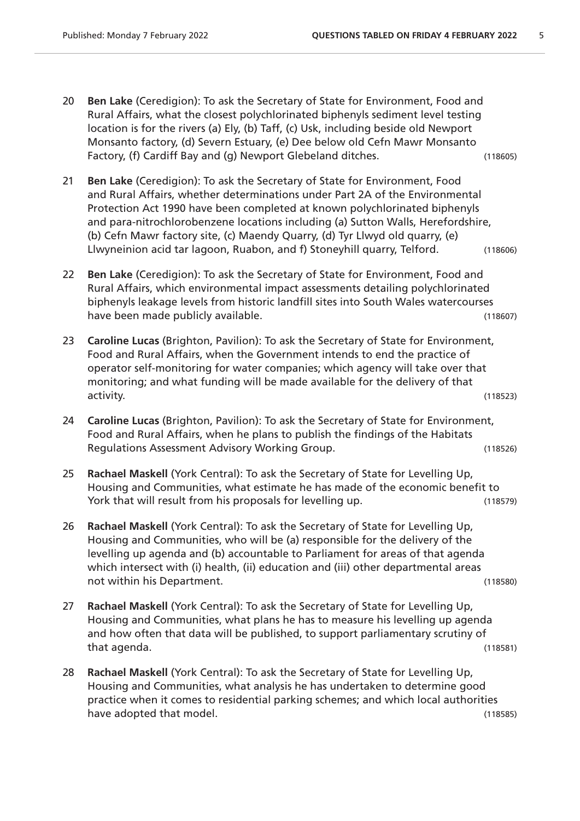- 20 **Ben Lake** (Ceredigion): To ask the Secretary of State for Environment, Food and Rural Affairs, what the closest polychlorinated biphenyls sediment level testing location is for the rivers (a) Ely, (b) Taff, (c) Usk, including beside old Newport Monsanto factory, (d) Severn Estuary, (e) Dee below old Cefn Mawr Monsanto Factory, (f) Cardiff Bay and (g) Newport Glebeland ditches. (118605)
- 21 **Ben Lake** (Ceredigion): To ask the Secretary of State for Environment, Food and Rural Affairs, whether determinations under Part 2A of the Environmental Protection Act 1990 have been completed at known polychlorinated biphenyls and para-nitrochlorobenzene locations including (a) Sutton Walls, Herefordshire, (b) Cefn Mawr factory site, (c) Maendy Quarry, (d) Tyr Llwyd old quarry, (e) Llwyneinion acid tar lagoon, Ruabon, and f) Stoneyhill quarry, Telford. (118606)
- 22 **Ben Lake** (Ceredigion): To ask the Secretary of State for Environment, Food and Rural Affairs, which environmental impact assessments detailing polychlorinated biphenyls leakage levels from historic landfill sites into South Wales watercourses have been made publicly available. (118607)
- 23 **Caroline Lucas** (Brighton, Pavilion): To ask the Secretary of State for Environment, Food and Rural Affairs, when the Government intends to end the practice of operator self-monitoring for water companies; which agency will take over that monitoring; and what funding will be made available for the delivery of that activity. (118523)
- 24 **Caroline Lucas** (Brighton, Pavilion): To ask the Secretary of State for Environment, Food and Rural Affairs, when he plans to publish the findings of the Habitats Regulations Assessment Advisory Working Group. (118526)
- 25 **Rachael Maskell** (York Central): To ask the Secretary of State for Levelling Up, Housing and Communities, what estimate he has made of the economic benefit to York that will result from his proposals for levelling up. (118579)
- 26 **Rachael Maskell** (York Central): To ask the Secretary of State for Levelling Up, Housing and Communities, who will be (a) responsible for the delivery of the levelling up agenda and (b) accountable to Parliament for areas of that agenda which intersect with (i) health, (ii) education and (iii) other departmental areas not within his Department. (118580)
- 27 **Rachael Maskell** (York Central): To ask the Secretary of State for Levelling Up, Housing and Communities, what plans he has to measure his levelling up agenda and how often that data will be published, to support parliamentary scrutiny of that agenda. (118581)
- 28 **Rachael Maskell** (York Central): To ask the Secretary of State for Levelling Up, Housing and Communities, what analysis he has undertaken to determine good practice when it comes to residential parking schemes; and which local authorities have adopted that model. The same state of the state of the state (118585)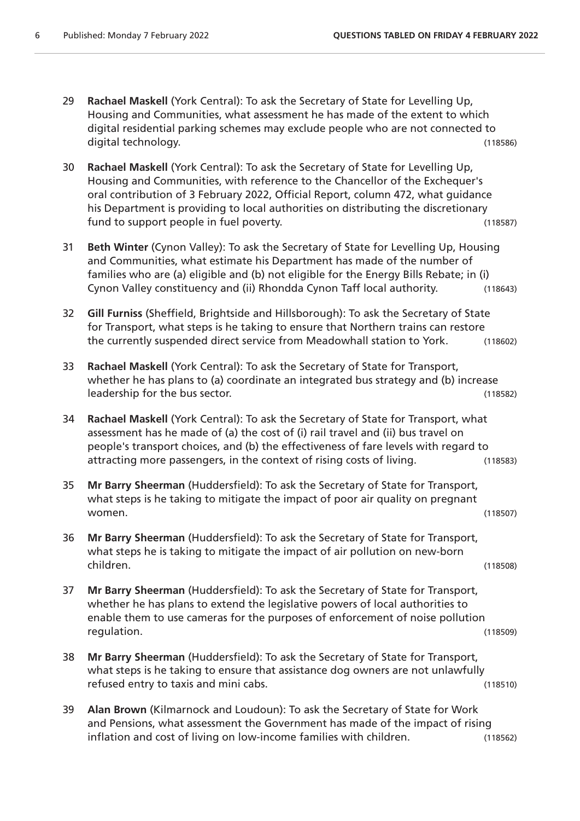- 29 **Rachael Maskell** (York Central): To ask the Secretary of State for Levelling Up, Housing and Communities, what assessment he has made of the extent to which digital residential parking schemes may exclude people who are not connected to digital technology. (118586)
- 30 **Rachael Maskell** (York Central): To ask the Secretary of State for Levelling Up, Housing and Communities, with reference to the Chancellor of the Exchequer's oral contribution of 3 February 2022, Official Report, column 472, what guidance his Department is providing to local authorities on distributing the discretionary fund to support people in fuel poverty. The same state of the support (118587)
- 31 **Beth Winter** (Cynon Valley): To ask the Secretary of State for Levelling Up, Housing and Communities, what estimate his Department has made of the number of families who are (a) eligible and (b) not eligible for the Energy Bills Rebate; in (i) Cynon Valley constituency and (ii) Rhondda Cynon Taff local authority. (118643)
- 32 **Gill Furniss** (Sheffield, Brightside and Hillsborough): To ask the Secretary of State for Transport, what steps is he taking to ensure that Northern trains can restore the currently suspended direct service from Meadowhall station to York. (118602)
- 33 **Rachael Maskell** (York Central): To ask the Secretary of State for Transport, whether he has plans to (a) coordinate an integrated bus strategy and (b) increase leadership for the bus sector. (118582)
- 34 **Rachael Maskell** (York Central): To ask the Secretary of State for Transport, what assessment has he made of (a) the cost of (i) rail travel and (ii) bus travel on people's transport choices, and (b) the effectiveness of fare levels with regard to attracting more passengers, in the context of rising costs of living. (118583)
- 35 **Mr Barry Sheerman** (Huddersfield): To ask the Secretary of State for Transport, what steps is he taking to mitigate the impact of poor air quality on pregnant women. (118507)
- 36 **Mr Barry Sheerman** (Huddersfield): To ask the Secretary of State for Transport, what steps he is taking to mitigate the impact of air pollution on new-born children. (118508)
- 37 **Mr Barry Sheerman** (Huddersfield): To ask the Secretary of State for Transport, whether he has plans to extend the legislative powers of local authorities to enable them to use cameras for the purposes of enforcement of noise pollution regulation. (118509)
- 38 **Mr Barry Sheerman** (Huddersfield): To ask the Secretary of State for Transport, what steps is he taking to ensure that assistance dog owners are not unlawfully refused entry to taxis and mini cabs. (118510)
- 39 **Alan Brown** (Kilmarnock and Loudoun): To ask the Secretary of State for Work and Pensions, what assessment the Government has made of the impact of rising inflation and cost of living on low-income families with children. (118562)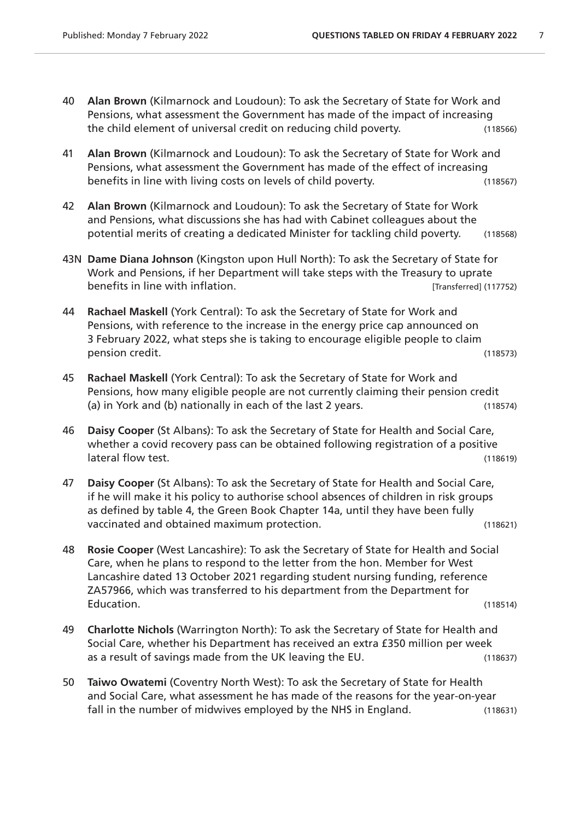- 40 **Alan Brown** (Kilmarnock and Loudoun): To ask the Secretary of State for Work and Pensions, what assessment the Government has made of the impact of increasing the child element of universal credit on reducing child poverty. (118566)
- 41 **Alan Brown** (Kilmarnock and Loudoun): To ask the Secretary of State for Work and Pensions, what assessment the Government has made of the effect of increasing benefits in line with living costs on levels of child poverty. (118567)
- 42 **Alan Brown** (Kilmarnock and Loudoun): To ask the Secretary of State for Work and Pensions, what discussions she has had with Cabinet colleagues about the potential merits of creating a dedicated Minister for tackling child poverty. (118568)
- 43N **Dame Diana Johnson** (Kingston upon Hull North): To ask the Secretary of State for Work and Pensions, if her Department will take steps with the Treasury to uprate benefits in line with inflation. The settle of the control of the control (117752) benefits in line with inflation.
- 44 **Rachael Maskell** (York Central): To ask the Secretary of State for Work and Pensions, with reference to the increase in the energy price cap announced on 3 February 2022, what steps she is taking to encourage eligible people to claim pension credit. (118573)
- 45 **Rachael Maskell** (York Central): To ask the Secretary of State for Work and Pensions, how many eligible people are not currently claiming their pension credit (a) in York and (b) nationally in each of the last 2 years. (118574)
- 46 **Daisy Cooper** (St Albans): To ask the Secretary of State for Health and Social Care, whether a covid recovery pass can be obtained following registration of a positive lateral flow test. (118619)
- 47 **Daisy Cooper** (St Albans): To ask the Secretary of State for Health and Social Care, if he will make it his policy to authorise school absences of children in risk groups as defined by table 4, the Green Book Chapter 14a, until they have been fully vaccinated and obtained maximum protection. (118621)
- 48 **Rosie Cooper** (West Lancashire): To ask the Secretary of State for Health and Social Care, when he plans to respond to the letter from the hon. Member for West Lancashire dated 13 October 2021 regarding student nursing funding, reference ZA57966, which was transferred to his department from the Department for Education. (118514)
- 49 **Charlotte Nichols** (Warrington North): To ask the Secretary of State for Health and Social Care, whether his Department has received an extra £350 million per week as a result of savings made from the UK leaving the EU. (118637)
- 50 **Taiwo Owatemi** (Coventry North West): To ask the Secretary of State for Health and Social Care, what assessment he has made of the reasons for the year-on-year fall in the number of midwives employed by the NHS in England. (118631)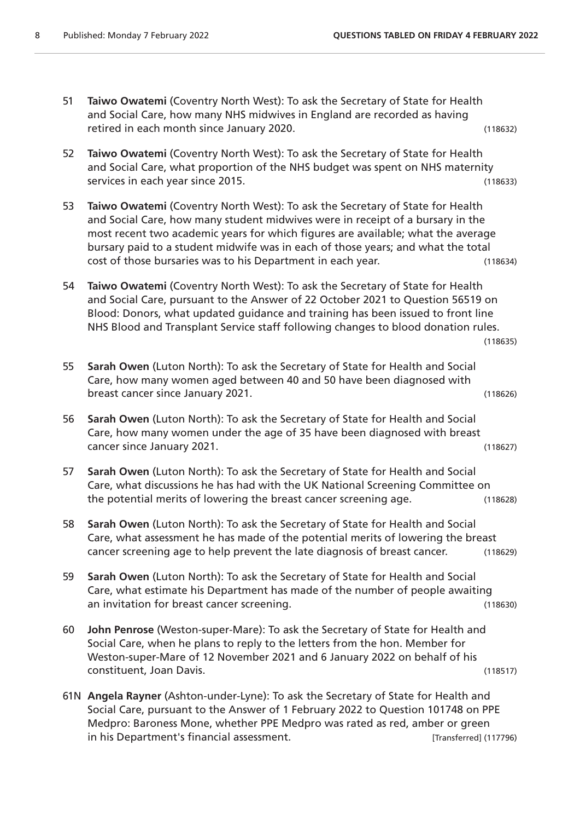- 51 **Taiwo Owatemi** (Coventry North West): To ask the Secretary of State for Health and Social Care, how many NHS midwives in England are recorded as having retired in each month since January 2020. (118632)
- 52 **Taiwo Owatemi** (Coventry North West): To ask the Secretary of State for Health and Social Care, what proportion of the NHS budget was spent on NHS maternity services in each year since 2015. (118633)
- 53 **Taiwo Owatemi** (Coventry North West): To ask the Secretary of State for Health and Social Care, how many student midwives were in receipt of a bursary in the most recent two academic years for which figures are available; what the average bursary paid to a student midwife was in each of those years; and what the total cost of those bursaries was to his Department in each year. (118634)
- 54 **Taiwo Owatemi** (Coventry North West): To ask the Secretary of State for Health and Social Care, pursuant to the Answer of 22 October 2021 to Question 56519 on Blood: Donors, what updated guidance and training has been issued to front line NHS Blood and Transplant Service staff following changes to blood donation rules.

```
(118635)
```
- 55 **Sarah Owen** (Luton North): To ask the Secretary of State for Health and Social Care, how many women aged between 40 and 50 have been diagnosed with breast cancer since January 2021. (118626)
- 56 **Sarah Owen** (Luton North): To ask the Secretary of State for Health and Social Care, how many women under the age of 35 have been diagnosed with breast cancer since January 2021. (118627)
- 57 **Sarah Owen** (Luton North): To ask the Secretary of State for Health and Social Care, what discussions he has had with the UK National Screening Committee on the potential merits of lowering the breast cancer screening age. (118628)
- 58 **Sarah Owen** (Luton North): To ask the Secretary of State for Health and Social Care, what assessment he has made of the potential merits of lowering the breast cancer screening age to help prevent the late diagnosis of breast cancer. (118629)
- 59 **Sarah Owen** (Luton North): To ask the Secretary of State for Health and Social Care, what estimate his Department has made of the number of people awaiting an invitation for breast cancer screening. (118630)
- 60 **John Penrose** (Weston-super-Mare): To ask the Secretary of State for Health and Social Care, when he plans to reply to the letters from the hon. Member for Weston-super-Mare of 12 November 2021 and 6 January 2022 on behalf of his constituent, Joan Davis. (118517)
- 61N **Angela Rayner** (Ashton-under-Lyne): To ask the Secretary of State for Health and Social Care, pursuant to the Answer of 1 February 2022 to Question 101748 on PPE Medpro: Baroness Mone, whether PPE Medpro was rated as red, amber or green in his Department's financial assessment. [Transferred] (117796)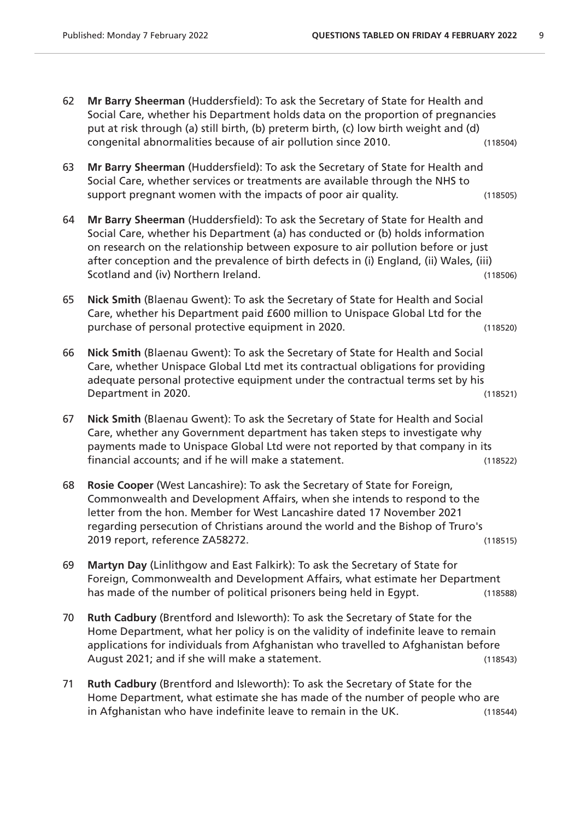- 62 **Mr Barry Sheerman** (Huddersfield): To ask the Secretary of State for Health and Social Care, whether his Department holds data on the proportion of pregnancies put at risk through (a) still birth, (b) preterm birth, (c) low birth weight and (d) congenital abnormalities because of air pollution since 2010. (118504)
- 63 **Mr Barry Sheerman** (Huddersfield): To ask the Secretary of State for Health and Social Care, whether services or treatments are available through the NHS to support pregnant women with the impacts of poor air quality. (118505)
- 64 **Mr Barry Sheerman** (Huddersfield): To ask the Secretary of State for Health and Social Care, whether his Department (a) has conducted or (b) holds information on research on the relationship between exposure to air pollution before or just after conception and the prevalence of birth defects in (i) England, (ii) Wales, (iii) Scotland and (iv) Northern Ireland. (118506)
- 65 **Nick Smith** (Blaenau Gwent): To ask the Secretary of State for Health and Social Care, whether his Department paid £600 million to Unispace Global Ltd for the purchase of personal protective equipment in 2020. (118520)
- 66 **Nick Smith** (Blaenau Gwent): To ask the Secretary of State for Health and Social Care, whether Unispace Global Ltd met its contractual obligations for providing adequate personal protective equipment under the contractual terms set by his Department in 2020. (118521)
- 67 **Nick Smith** (Blaenau Gwent): To ask the Secretary of State for Health and Social Care, whether any Government department has taken steps to investigate why payments made to Unispace Global Ltd were not reported by that company in its financial accounts; and if he will make a statement. (118522)
- 68 **Rosie Cooper** (West Lancashire): To ask the Secretary of State for Foreign, Commonwealth and Development Affairs, when she intends to respond to the letter from the hon. Member for West Lancashire dated 17 November 2021 regarding persecution of Christians around the world and the Bishop of Truro's 2019 report, reference ZA58272. (118515)
- 69 **Martyn Day** (Linlithgow and East Falkirk): To ask the Secretary of State for Foreign, Commonwealth and Development Affairs, what estimate her Department has made of the number of political prisoners being held in Egypt. (118588)
- 70 **Ruth Cadbury** (Brentford and Isleworth): To ask the Secretary of State for the Home Department, what her policy is on the validity of indefinite leave to remain applications for individuals from Afghanistan who travelled to Afghanistan before August 2021; and if she will make a statement. (118543)
- 71 **Ruth Cadbury** (Brentford and Isleworth): To ask the Secretary of State for the Home Department, what estimate she has made of the number of people who are in Afghanistan who have indefinite leave to remain in the UK. (118544)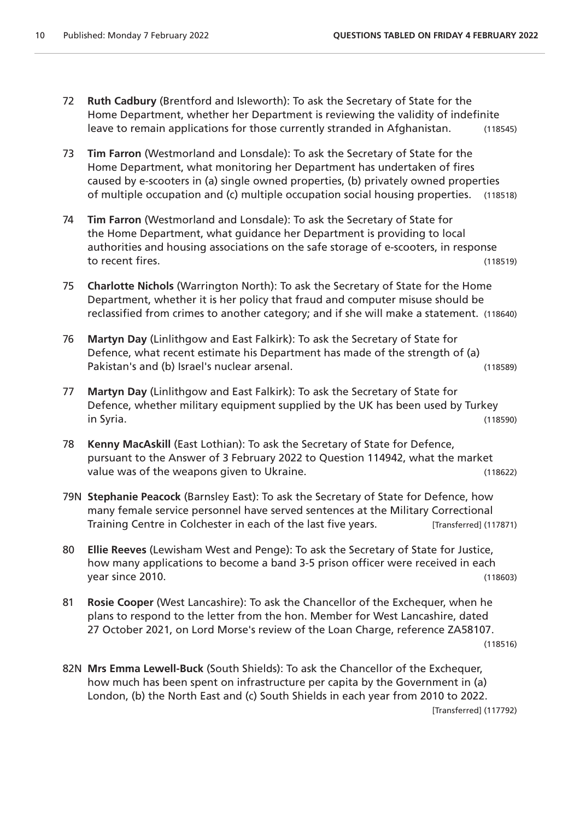- 72 **Ruth Cadbury** (Brentford and Isleworth): To ask the Secretary of State for the Home Department, whether her Department is reviewing the validity of indefinite leave to remain applications for those currently stranded in Afghanistan. (118545)
- 73 **Tim Farron** (Westmorland and Lonsdale): To ask the Secretary of State for the Home Department, what monitoring her Department has undertaken of fires caused by e-scooters in (a) single owned properties, (b) privately owned properties of multiple occupation and (c) multiple occupation social housing properties. (118518)
- 74 **Tim Farron** (Westmorland and Lonsdale): To ask the Secretary of State for the Home Department, what guidance her Department is providing to local authorities and housing associations on the safe storage of e-scooters, in response to recent fires. (118519)
- 75 **Charlotte Nichols** (Warrington North): To ask the Secretary of State for the Home Department, whether it is her policy that fraud and computer misuse should be reclassified from crimes to another category; and if she will make a statement. (118640)
- 76 **Martyn Day** (Linlithgow and East Falkirk): To ask the Secretary of State for Defence, what recent estimate his Department has made of the strength of (a) Pakistan's and (b) Israel's nuclear arsenal. (118589)
- 77 **Martyn Day** (Linlithgow and East Falkirk): To ask the Secretary of State for Defence, whether military equipment supplied by the UK has been used by Turkey in Syria. (118590)
- 78 **Kenny MacAskill** (East Lothian): To ask the Secretary of State for Defence, pursuant to the Answer of 3 February 2022 to Question 114942, what the market value was of the weapons given to Ukraine. The manuscript of the weapons given to Ukraine.
- 79N **Stephanie Peacock** (Barnsley East): To ask the Secretary of State for Defence, how many female service personnel have served sentences at the Military Correctional Training Centre in Colchester in each of the last five years. [Transferred] (117871)
- 80 **Ellie Reeves** (Lewisham West and Penge): To ask the Secretary of State for Justice, how many applications to become a band 3-5 prison officer were received in each year since 2010. (118603)
- 81 **Rosie Cooper** (West Lancashire): To ask the Chancellor of the Exchequer, when he plans to respond to the letter from the hon. Member for West Lancashire, dated 27 October 2021, on Lord Morse's review of the Loan Charge, reference ZA58107.

(118516)

82N **Mrs Emma Lewell-Buck** (South Shields): To ask the Chancellor of the Exchequer, how much has been spent on infrastructure per capita by the Government in (a) London, (b) the North East and (c) South Shields in each year from 2010 to 2022. [Transferred] (117792)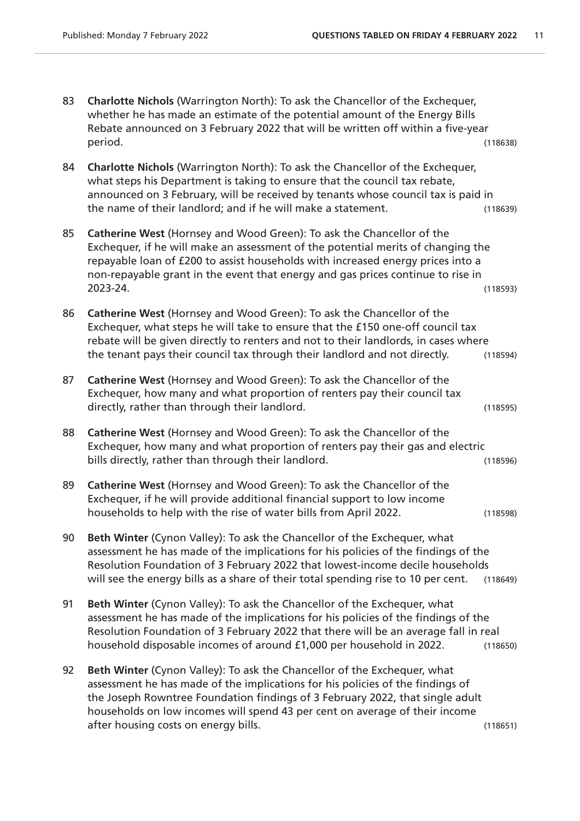| 83 | Charlotte Nichols (Warrington North): To ask the Chancellor of the Exchequer,<br>whether he has made an estimate of the potential amount of the Energy Bills<br>Rebate announced on 3 February 2022 that will be written off within a five-year<br>period.                                                                                                         | (118638) |
|----|--------------------------------------------------------------------------------------------------------------------------------------------------------------------------------------------------------------------------------------------------------------------------------------------------------------------------------------------------------------------|----------|
|    |                                                                                                                                                                                                                                                                                                                                                                    |          |
| 84 | Charlotte Nichols (Warrington North): To ask the Chancellor of the Exchequer,<br>what steps his Department is taking to ensure that the council tax rebate,<br>announced on 3 February, will be received by tenants whose council tax is paid in<br>the name of their landlord; and if he will make a statement.                                                   | (118639) |
| 85 | Catherine West (Hornsey and Wood Green): To ask the Chancellor of the<br>Exchequer, if he will make an assessment of the potential merits of changing the<br>repayable loan of £200 to assist households with increased energy prices into a<br>non-repayable grant in the event that energy and gas prices continue to rise in<br>2023-24.                        | (118593) |
| 86 | Catherine West (Hornsey and Wood Green): To ask the Chancellor of the<br>Exchequer, what steps he will take to ensure that the £150 one-off council tax<br>rebate will be given directly to renters and not to their landlords, in cases where<br>the tenant pays their council tax through their landlord and not directly.                                       | (118594) |
| 87 | Catherine West (Hornsey and Wood Green): To ask the Chancellor of the<br>Exchequer, how many and what proportion of renters pay their council tax<br>directly, rather than through their landlord.                                                                                                                                                                 | (118595) |
| 88 | Catherine West (Hornsey and Wood Green): To ask the Chancellor of the<br>Exchequer, how many and what proportion of renters pay their gas and electric<br>bills directly, rather than through their landlord.                                                                                                                                                      | (118596) |
| 89 | Catherine West (Hornsey and Wood Green): To ask the Chancellor of the<br>Exchequer, if he will provide additional financial support to low income<br>households to help with the rise of water bills from April 2022.                                                                                                                                              | (118598) |
| 90 | Beth Winter (Cynon Valley): To ask the Chancellor of the Exchequer, what<br>assessment he has made of the implications for his policies of the findings of the<br>Resolution Foundation of 3 February 2022 that lowest-income decile households<br>will see the energy bills as a share of their total spending rise to 10 per cent.                               | (118649) |
| 91 | Beth Winter (Cynon Valley): To ask the Chancellor of the Exchequer, what<br>assessment he has made of the implications for his policies of the findings of the<br>Resolution Foundation of 3 February 2022 that there will be an average fall in real<br>household disposable incomes of around £1,000 per household in 2022.                                      | (118650) |
| 92 | Beth Winter (Cynon Valley): To ask the Chancellor of the Exchequer, what<br>assessment he has made of the implications for his policies of the findings of<br>the Joseph Rowntree Foundation findings of 3 February 2022, that single adult<br>households on low incomes will spend 43 per cent on average of their income<br>after housing costs on energy bills. | (118651) |
|    |                                                                                                                                                                                                                                                                                                                                                                    |          |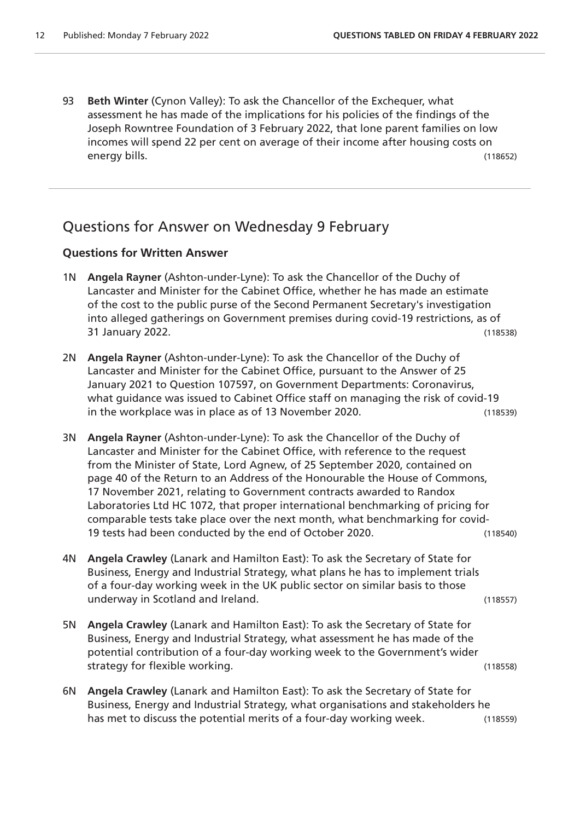93 **Beth Winter** (Cynon Valley): To ask the Chancellor of the Exchequer, what assessment he has made of the implications for his policies of the findings of the Joseph Rowntree Foundation of 3 February 2022, that lone parent families on low incomes will spend 22 per cent on average of their income after housing costs on energy bills. (118652)

### Questions for Answer on Wednesday 9 February

- 1N **Angela Rayner** (Ashton-under-Lyne): To ask the Chancellor of the Duchy of Lancaster and Minister for the Cabinet Office, whether he has made an estimate of the cost to the public purse of the Second Permanent Secretary's investigation into alleged gatherings on Government premises during covid-19 restrictions, as of 31 January 2022. (118538)
- 2N **Angela Rayner** (Ashton-under-Lyne): To ask the Chancellor of the Duchy of Lancaster and Minister for the Cabinet Office, pursuant to the Answer of 25 January 2021 to Question 107597, on Government Departments: Coronavirus, what guidance was issued to Cabinet Office staff on managing the risk of covid-19 in the workplace was in place as of 13 November 2020. (118539)
- 3N **Angela Rayner** (Ashton-under-Lyne): To ask the Chancellor of the Duchy of Lancaster and Minister for the Cabinet Office, with reference to the request from the Minister of State, Lord Agnew, of 25 September 2020, contained on page 40 of the Return to an Address of the Honourable the House of Commons, 17 November 2021, relating to Government contracts awarded to Randox Laboratories Ltd HC 1072, that proper international benchmarking of pricing for comparable tests take place over the next month, what benchmarking for covid-19 tests had been conducted by the end of October 2020. (118540)
- 4N **Angela Crawley** (Lanark and Hamilton East): To ask the Secretary of State for Business, Energy and Industrial Strategy, what plans he has to implement trials of a four-day working week in the UK public sector on similar basis to those underway in Scotland and Ireland. (118557)
- 5N **Angela Crawley** (Lanark and Hamilton East): To ask the Secretary of State for Business, Energy and Industrial Strategy, what assessment he has made of the potential contribution of a four-day working week to the Government's wider strategy for flexible working. (118558)
- 6N **Angela Crawley** (Lanark and Hamilton East): To ask the Secretary of State for Business, Energy and Industrial Strategy, what organisations and stakeholders he has met to discuss the potential merits of a four-day working week. (118559)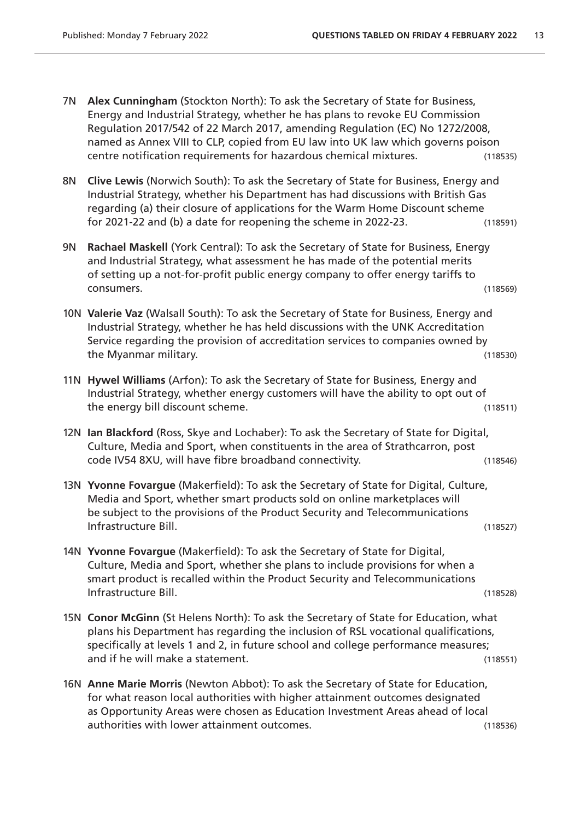- 7N **Alex Cunningham** (Stockton North): To ask the Secretary of State for Business, Energy and Industrial Strategy, whether he has plans to revoke EU Commission Regulation 2017/542 of 22 March 2017, amending Regulation (EC) No 1272/2008, named as Annex VIII to CLP, copied from EU law into UK law which governs poison centre notification requirements for hazardous chemical mixtures. (118535)
- 8N **Clive Lewis** (Norwich South): To ask the Secretary of State for Business, Energy and Industrial Strategy, whether his Department has had discussions with British Gas regarding (a) their closure of applications for the Warm Home Discount scheme for 2021-22 and (b) a date for reopening the scheme in 2022-23. (118591)
- 9N **Rachael Maskell** (York Central): To ask the Secretary of State for Business, Energy and Industrial Strategy, what assessment he has made of the potential merits of setting up a not-for-profit public energy company to offer energy tariffs to consumers. (118569)
- 10N **Valerie Vaz** (Walsall South): To ask the Secretary of State for Business, Energy and Industrial Strategy, whether he has held discussions with the UNK Accreditation Service regarding the provision of accreditation services to companies owned by the Myanmar military. (118530)
- 11N **Hywel Williams** (Arfon): To ask the Secretary of State for Business, Energy and Industrial Strategy, whether energy customers will have the ability to opt out of the energy bill discount scheme. (118511)
- 12N **Ian Blackford** (Ross, Skye and Lochaber): To ask the Secretary of State for Digital, Culture, Media and Sport, when constituents in the area of Strathcarron, post code IV54 8XU, will have fibre broadband connectivity. (118546)
- 13N **Yvonne Fovargue** (Makerfield): To ask the Secretary of State for Digital, Culture, Media and Sport, whether smart products sold on online marketplaces will be subject to the provisions of the Product Security and Telecommunications Infrastructure Bill. (118527)
- 14N **Yvonne Fovargue** (Makerfield): To ask the Secretary of State for Digital, Culture, Media and Sport, whether she plans to include provisions for when a smart product is recalled within the Product Security and Telecommunications Infrastructure Bill. (118528)
- 15N **Conor McGinn** (St Helens North): To ask the Secretary of State for Education, what plans his Department has regarding the inclusion of RSL vocational qualifications, specifically at levels 1 and 2, in future school and college performance measures; and if he will make a statement. (118551)
- 16N **Anne Marie Morris** (Newton Abbot): To ask the Secretary of State for Education, for what reason local authorities with higher attainment outcomes designated as Opportunity Areas were chosen as Education Investment Areas ahead of local authorities with lower attainment outcomes. (118536)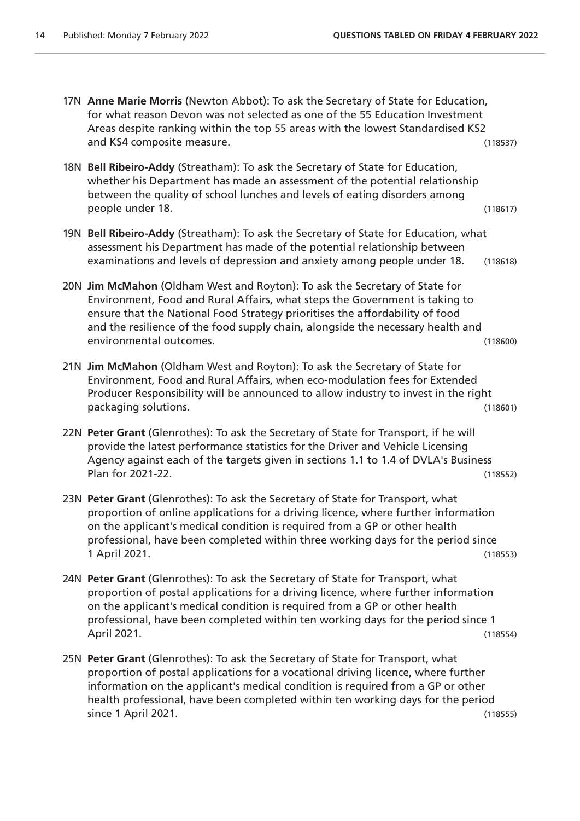17N **Anne Marie Morris** (Newton Abbot): To ask the Secretary of State for Education, for what reason Devon was not selected as one of the 55 Education Investment Areas despite ranking within the top 55 areas with the lowest Standardised KS2 and KS4 composite measure. (118537) 18N **Bell Ribeiro-Addy** (Streatham): To ask the Secretary of State for Education, whether his Department has made an assessment of the potential relationship between the quality of school lunches and levels of eating disorders among people under 18. (118617) 19N **Bell Ribeiro-Addy** (Streatham): To ask the Secretary of State for Education, what assessment his Department has made of the potential relationship between examinations and levels of depression and anxiety among people under 18. (118618) 20N **Jim McMahon** (Oldham West and Royton): To ask the Secretary of State for Environment, Food and Rural Affairs, what steps the Government is taking to ensure that the National Food Strategy prioritises the affordability of food and the resilience of the food supply chain, alongside the necessary health and environmental outcomes. (118600) 21N **Jim McMahon** (Oldham West and Royton): To ask the Secretary of State for Environment, Food and Rural Affairs, when eco-modulation fees for Extended Producer Responsibility will be announced to allow industry to invest in the right packaging solutions. (118601) 22N **Peter Grant** (Glenrothes): To ask the Secretary of State for Transport, if he will provide the latest performance statistics for the Driver and Vehicle Licensing Agency against each of the targets given in sections 1.1 to 1.4 of DVLA's Business

Plan for 2021-22. (118552)

- 23N **Peter Grant** (Glenrothes): To ask the Secretary of State for Transport, what proportion of online applications for a driving licence, where further information on the applicant's medical condition is required from a GP or other health professional, have been completed within three working days for the period since 1 April 2021. (118553)
- 24N **Peter Grant** (Glenrothes): To ask the Secretary of State for Transport, what proportion of postal applications for a driving licence, where further information on the applicant's medical condition is required from a GP or other health professional, have been completed within ten working days for the period since 1 April 2021. (118554)
- 25N **Peter Grant** (Glenrothes): To ask the Secretary of State for Transport, what proportion of postal applications for a vocational driving licence, where further information on the applicant's medical condition is required from a GP or other health professional, have been completed within ten working days for the period since 1 April 2021. (118555)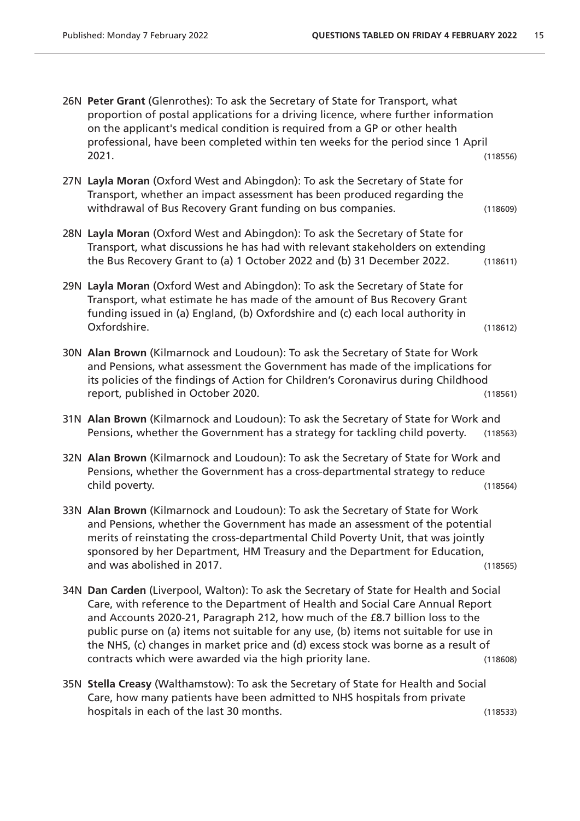- 26N **Peter Grant** (Glenrothes): To ask the Secretary of State for Transport, what proportion of postal applications for a driving licence, where further information on the applicant's medical condition is required from a GP or other health professional, have been completed within ten weeks for the period since 1 April 2021. (118556)
- 27N **Layla Moran** (Oxford West and Abingdon): To ask the Secretary of State for Transport, whether an impact assessment has been produced regarding the withdrawal of Bus Recovery Grant funding on bus companies. (118609)
- 28N **Layla Moran** (Oxford West and Abingdon): To ask the Secretary of State for Transport, what discussions he has had with relevant stakeholders on extending the Bus Recovery Grant to (a) 1 October 2022 and (b) 31 December 2022. (118611)
- 29N **Layla Moran** (Oxford West and Abingdon): To ask the Secretary of State for Transport, what estimate he has made of the amount of Bus Recovery Grant funding issued in (a) England, (b) Oxfordshire and (c) each local authority in Oxfordshire. (118612)
- 30N **Alan Brown** (Kilmarnock and Loudoun): To ask the Secretary of State for Work and Pensions, what assessment the Government has made of the implications for its policies of the findings of Action for Children's Coronavirus during Childhood report, published in October 2020. (118561)
- 31N **Alan Brown** (Kilmarnock and Loudoun): To ask the Secretary of State for Work and Pensions, whether the Government has a strategy for tackling child poverty. (118563)
- 32N **Alan Brown** (Kilmarnock and Loudoun): To ask the Secretary of State for Work and Pensions, whether the Government has a cross-departmental strategy to reduce child poverty. (118564)
- 33N **Alan Brown** (Kilmarnock and Loudoun): To ask the Secretary of State for Work and Pensions, whether the Government has made an assessment of the potential merits of reinstating the cross-departmental Child Poverty Unit, that was jointly sponsored by her Department, HM Treasury and the Department for Education, and was abolished in 2017. (118565)
- 34N **Dan Carden** (Liverpool, Walton): To ask the Secretary of State for Health and Social Care, with reference to the Department of Health and Social Care Annual Report and Accounts 2020-21, Paragraph 212, how much of the £8.7 billion loss to the public purse on (a) items not suitable for any use, (b) items not suitable for use in the NHS, (c) changes in market price and (d) excess stock was borne as a result of contracts which were awarded via the high priority lane. (118608)
- 35N **Stella Creasy** (Walthamstow): To ask the Secretary of State for Health and Social Care, how many patients have been admitted to NHS hospitals from private hospitals in each of the last 30 months. (118533)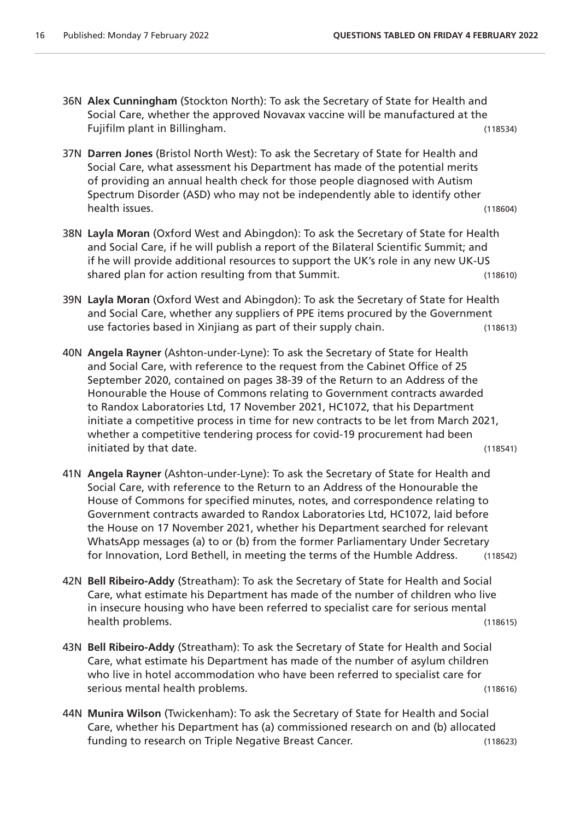- 36N **Alex Cunningham** (Stockton North): To ask the Secretary of State for Health and Social Care, whether the approved Novavax vaccine will be manufactured at the Fujifilm plant in Billingham. (118534)
- 37N **Darren Jones** (Bristol North West): To ask the Secretary of State for Health and Social Care, what assessment his Department has made of the potential merits of providing an annual health check for those people diagnosed with Autism Spectrum Disorder (ASD) who may not be independently able to identify other health issues. (118604)
- 38N **Layla Moran** (Oxford West and Abingdon): To ask the Secretary of State for Health and Social Care, if he will publish a report of the Bilateral Scientific Summit; and if he will provide additional resources to support the UK's role in any new UK-US shared plan for action resulting from that Summit. (118610)
- 39N **Layla Moran** (Oxford West and Abingdon): To ask the Secretary of State for Health and Social Care, whether any suppliers of PPE items procured by the Government use factories based in Xinjiang as part of their supply chain. (118613)
- 40N **Angela Rayner** (Ashton-under-Lyne): To ask the Secretary of State for Health and Social Care, with reference to the request from the Cabinet Office of 25 September 2020, contained on pages 38-39 of the Return to an Address of the Honourable the House of Commons relating to Government contracts awarded to Randox Laboratories Ltd, 17 November 2021, HC1072, that his Department initiate a competitive process in time for new contracts to be let from March 2021, whether a competitive tendering process for covid-19 procurement had been initiated by that date. (118541)
- 41N **Angela Rayner** (Ashton-under-Lyne): To ask the Secretary of State for Health and Social Care, with reference to the Return to an Address of the Honourable the House of Commons for specified minutes, notes, and correspondence relating to Government contracts awarded to Randox Laboratories Ltd, HC1072, laid before the House on 17 November 2021, whether his Department searched for relevant WhatsApp messages (a) to or (b) from the former Parliamentary Under Secretary for Innovation, Lord Bethell, in meeting the terms of the Humble Address. (118542)
- 42N **Bell Ribeiro-Addy** (Streatham): To ask the Secretary of State for Health and Social Care, what estimate his Department has made of the number of children who live in insecure housing who have been referred to specialist care for serious mental health problems. (118615)
- 43N **Bell Ribeiro-Addy** (Streatham): To ask the Secretary of State for Health and Social Care, what estimate his Department has made of the number of asylum children who live in hotel accommodation who have been referred to specialist care for serious mental health problems. (118616)
- 44N **Munira Wilson** (Twickenham): To ask the Secretary of State for Health and Social Care, whether his Department has (a) commissioned research on and (b) allocated funding to research on Triple Negative Breast Cancer. (118623)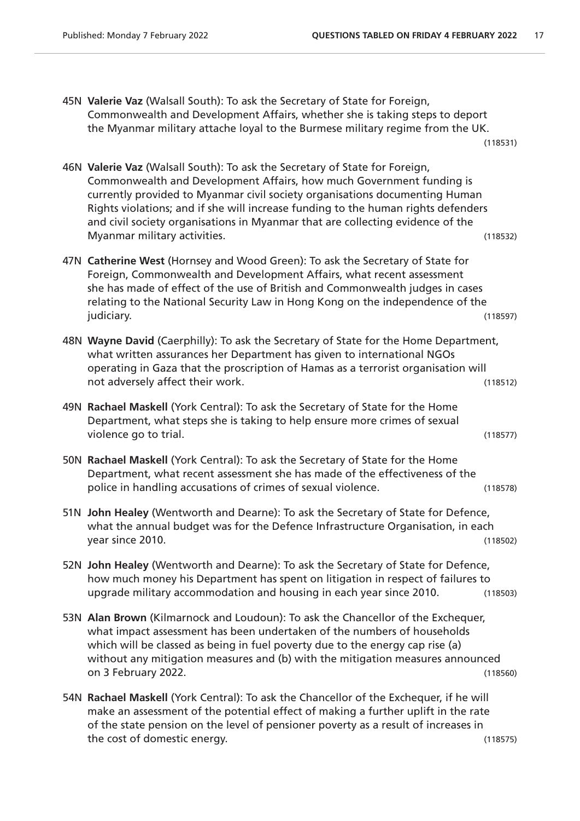- 45N **Valerie Vaz** (Walsall South): To ask the Secretary of State for Foreign, Commonwealth and Development Affairs, whether she is taking steps to deport the Myanmar military attache loyal to the Burmese military regime from the UK. (118531)
- 46N **Valerie Vaz** (Walsall South): To ask the Secretary of State for Foreign, Commonwealth and Development Affairs, how much Government funding is currently provided to Myanmar civil society organisations documenting Human Rights violations; and if she will increase funding to the human rights defenders and civil society organisations in Myanmar that are collecting evidence of the Myanmar military activities. (118532)
- 47N **Catherine West** (Hornsey and Wood Green): To ask the Secretary of State for Foreign, Commonwealth and Development Affairs, what recent assessment she has made of effect of the use of British and Commonwealth judges in cases relating to the National Security Law in Hong Kong on the independence of the judiciary. (118597)
- 48N **Wayne David** (Caerphilly): To ask the Secretary of State for the Home Department, what written assurances her Department has given to international NGOs operating in Gaza that the proscription of Hamas as a terrorist organisation will not adversely affect their work. (118512)
- 49N **Rachael Maskell** (York Central): To ask the Secretary of State for the Home Department, what steps she is taking to help ensure more crimes of sexual violence go to trial. (118577)
- 50N **Rachael Maskell** (York Central): To ask the Secretary of State for the Home Department, what recent assessment she has made of the effectiveness of the police in handling accusations of crimes of sexual violence. (118578)
- 51N **John Healey** (Wentworth and Dearne): To ask the Secretary of State for Defence, what the annual budget was for the Defence Infrastructure Organisation, in each year since 2010. (118502)
- 52N **John Healey** (Wentworth and Dearne): To ask the Secretary of State for Defence, how much money his Department has spent on litigation in respect of failures to upgrade military accommodation and housing in each year since 2010. (118503)
- 53N **Alan Brown** (Kilmarnock and Loudoun): To ask the Chancellor of the Exchequer, what impact assessment has been undertaken of the numbers of households which will be classed as being in fuel poverty due to the energy cap rise (a) without any mitigation measures and (b) with the mitigation measures announced on 3 February 2022. (118560)
- 54N **Rachael Maskell** (York Central): To ask the Chancellor of the Exchequer, if he will make an assessment of the potential effect of making a further uplift in the rate of the state pension on the level of pensioner poverty as a result of increases in the cost of domestic energy. (118575)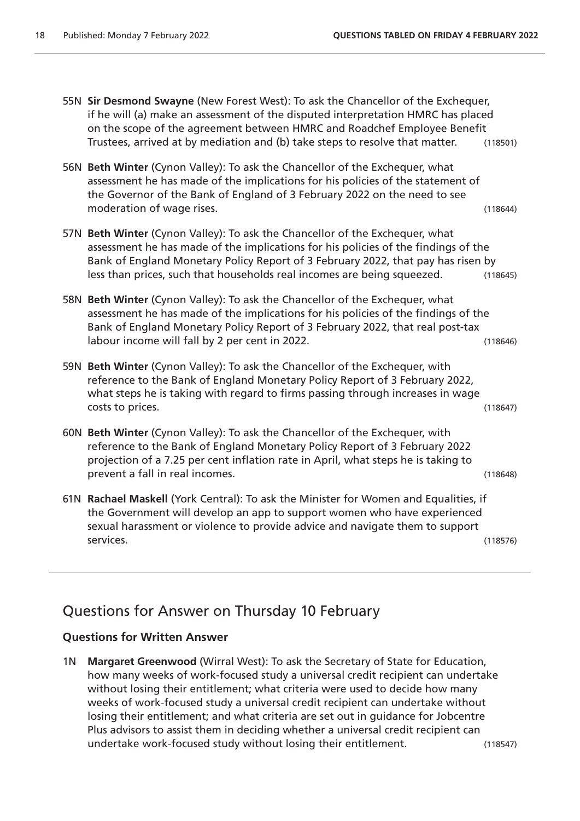55N **Sir Desmond Swayne** (New Forest West): To ask the Chancellor of the Exchequer, if he will (a) make an assessment of the disputed interpretation HMRC has placed on the scope of the agreement between HMRC and Roadchef Employee Benefit Trustees, arrived at by mediation and (b) take steps to resolve that matter. (118501) 56N **Beth Winter** (Cynon Valley): To ask the Chancellor of the Exchequer, what assessment he has made of the implications for his policies of the statement of the Governor of the Bank of England of 3 February 2022 on the need to see moderation of wage rises. (118644) 57N **Beth Winter** (Cynon Valley): To ask the Chancellor of the Exchequer, what assessment he has made of the implications for his policies of the findings of the Bank of England Monetary Policy Report of 3 February 2022, that pay has risen by less than prices, such that households real incomes are being squeezed. (118645) 58N **Beth Winter** (Cynon Valley): To ask the Chancellor of the Exchequer, what assessment he has made of the implications for his policies of the findings of the Bank of England Monetary Policy Report of 3 February 2022, that real post-tax labour income will fall by 2 per cent in 2022. (118646) 59N **Beth Winter** (Cynon Valley): To ask the Chancellor of the Exchequer, with reference to the Bank of England Monetary Policy Report of 3 February 2022, what steps he is taking with regard to firms passing through increases in wage costs to prices. (118647) 60N **Beth Winter** (Cynon Valley): To ask the Chancellor of the Exchequer, with reference to the Bank of England Monetary Policy Report of 3 February 2022 projection of a 7.25 per cent inflation rate in April, what steps he is taking to prevent a fall in real incomes. (118648) 61N **Rachael Maskell** (York Central): To ask the Minister for Women and Equalities, if the Government will develop an app to support women who have experienced sexual harassment or violence to provide advice and navigate them to support services. (118576)

## Questions for Answer on Thursday 10 February

### **Questions for Written Answer**

1N **Margaret Greenwood** (Wirral West): To ask the Secretary of State for Education, how many weeks of work-focused study a universal credit recipient can undertake without losing their entitlement; what criteria were used to decide how many weeks of work-focused study a universal credit recipient can undertake without losing their entitlement; and what criteria are set out in guidance for Jobcentre Plus advisors to assist them in deciding whether a universal credit recipient can undertake work-focused study without losing their entitlement. (118547)